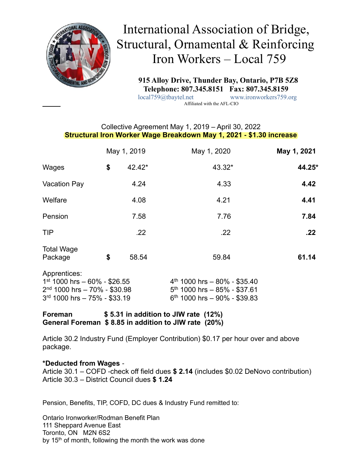

# International Association of Bridge, Structural, Ornamental & Reinforcing Iron Workers – Local 759

 **915 Alloy Drive, Thunder Bay, Ontario, P7B 5Z8 Telephone: 807.345.8151 Fax: 807.345.8159**<br>local759@tbaytel.net www.ironworkers759.c

www.ironworkers759.org Affiliated with the AFL-CIO

### Collective Agreement May 1, 2019 – April 30, 2022 **Structural Iron Worker Wage Breakdown May 1, 2021 - \$1.30 increase**

|                                                                                                                    | May 1, 2019 |        | May 1, 2020                                                                                        | May 1, 2021 |
|--------------------------------------------------------------------------------------------------------------------|-------------|--------|----------------------------------------------------------------------------------------------------|-------------|
| Wages                                                                                                              | \$          | 42.42* | 43.32*                                                                                             | 44.25*      |
| <b>Vacation Pay</b>                                                                                                |             | 4.24   | 4.33                                                                                               | 4.42        |
| Welfare                                                                                                            |             | 4.08   | 4.21                                                                                               | 4.41        |
| Pension                                                                                                            |             | 7.58   | 7.76                                                                                               | 7.84        |
| <b>TIP</b>                                                                                                         |             | .22    | .22                                                                                                | .22         |
| <b>Total Wage</b><br>Package                                                                                       | \$          | 58.54  | 59.84                                                                                              | 61.14       |
| Apprentices:<br>$1st$ 1000 hrs - 60% - \$26.55<br>$2nd$ 1000 hrs - 70% - \$30.98<br>$3rd$ 1000 hrs - 75% - \$33.19 |             |        | $4th$ 1000 hrs - 80% - \$35.40<br>$5th$ 1000 hrs - 85% - \$37.61<br>$6th$ 1000 hrs - 90% - \$39.83 |             |
|                                                                                                                    |             |        |                                                                                                    |             |

**Foreman \$ 5.31 in addition to JIW rate (12%) General Foreman \$ 8.85 in addition to JIW rate (20%)**

Article 30.2 Industry Fund (Employer Contribution) \$0.17 per hour over and above package.

#### **\*Deducted from Wages** -

Article 30.1 – COFD -check off field dues **\$ 2.14** (includes \$0.02 DeNovo contribution) Article 30.3 – District Council dues **\$ 1.24**

Pension, Benefits, TIP, COFD, DC dues & Industry Fund remitted to:

Ontario Ironworker/Rodman Benefit Plan 111 Sheppard Avenue East Toronto, ON M2N 6S2 by 15<sup>th</sup> of month, following the month the work was done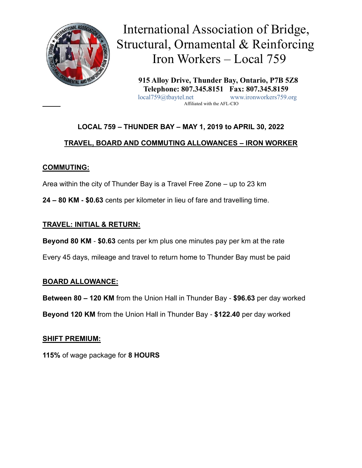

 International Association of Bridge, Structural, Ornamental & Reinforcing Iron Workers – Local 759

 **915 Alloy Drive, Thunder Bay, Ontario, P7B 5Z8 Telephone: 807.345.8151 Fax: 807.345.8159** local759@tbaytel.net www.ironworkers759.org Affiliated with the AFL-CIO

# **LOCAL 759 – THUNDER BAY – MAY 1, 2019 to APRIL 30, 2022**

# **TRAVEL, BOARD AND COMMUTING ALLOWANCES – IRON WORKER**

## **COMMUTING:**

Area within the city of Thunder Bay is a Travel Free Zone – up to 23 km

**24 – 80 KM - \$0.63** cents per kilometer in lieu of fare and travelling time.

## **TRAVEL: INITIAL & RETURN:**

**Beyond 80 KM** - **\$0.63** cents per km plus one minutes pay per km at the rate

Every 45 days, mileage and travel to return home to Thunder Bay must be paid

### **BOARD ALLOWANCE:**

**Between 80 – 120 KM** from the Union Hall in Thunder Bay - **\$96.63** per day worked

**Beyond 120 KM** from the Union Hall in Thunder Bay - **\$122.40** per day worked

# **SHIFT PREMIUM:**

**115%** of wage package for **8 HOURS**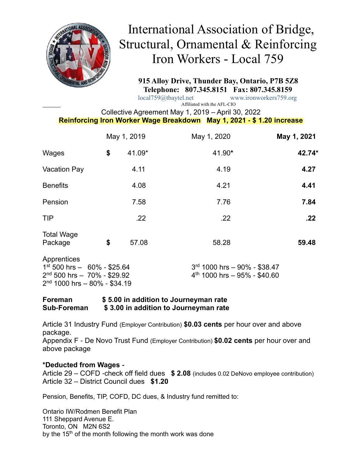

# International Association of Bridge, Structural, Ornamental & Reinforcing Iron Workers - Local 759

 **915 Alloy Drive, Thunder Bay, Ontario, P7B 5Z8 Telephone: 807.345.8151 Fax: 807.345.8159**

 local759@tbaytel.net www.ironworkers759.org Affiliated with the AFL-CIO

Collective Agreement May 1, 2019 – April 30, 2022

## **Reinforcing Iron Worker Wage Breakdown May 1, 2021 - \$ 1.20 increase**

|                                                                                                                    | May 1, 2019 |        | May 1, 2020                                                    | May 1, 2021 |
|--------------------------------------------------------------------------------------------------------------------|-------------|--------|----------------------------------------------------------------|-------------|
| Wages                                                                                                              | \$          | 41.09* | 41.90*                                                         | 42.74*      |
| <b>Vacation Pay</b>                                                                                                |             | 4.11   | 4.19                                                           | 4.27        |
| <b>Benefits</b>                                                                                                    |             | 4.08   | 4.21                                                           | 4.41        |
| Pension                                                                                                            |             | 7.58   | 7.76                                                           | 7.84        |
| <b>TIP</b>                                                                                                         |             | .22    | .22                                                            | .22         |
| <b>Total Wage</b><br>Package                                                                                       | \$          | 57.08  | 58.28                                                          | 59.48       |
| Apprentices<br>$1st 500$ hrs $- 60\% - $25.64$<br>$2nd$ 500 hrs $-70%$ - \$29.92<br>$2nd$ 1000 hrs - 80% - \$34.19 |             |        | 3rd 1000 hrs - 90% - \$38.47<br>$4th$ 1000 hrs - 95% - \$40.60 |             |

**Foreman \$ 5.00 in addition to Journeyman rate Sub-Foreman \$ 3.00 in addition to Journeyman rate**

Article 31 Industry Fund (Employer Contribution) **\$0.03 cents** per hour over and above package.

Appendix F - De Novo Trust Fund (Employer Contribution) **\$0.02 cents** per hour over and above package

#### **\*Deducted from Wages -**

Article 29 – COFD -check off field dues **\$ 2.08** (includes 0.02 DeNovo employee contribution) Article 32 – District Council dues **\$1.20**

Pension, Benefits, TIP, COFD, DC dues, & Industry fund remitted to:

Ontario IW/Rodmen Benefit Plan 111 Sheppard Avenue E. Toronto, ON M2N 6S2 by the 15<sup>th</sup> of the month following the month work was done